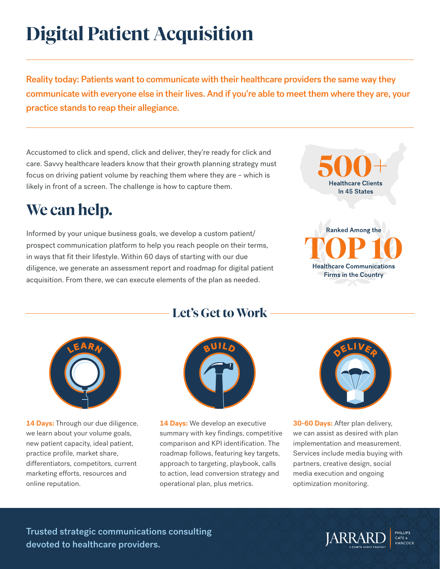# **Digital Patient Acquisition**

Reality today: Patients want to communicate with their healthcare providers the same way they communicate with everyone else in their lives. And if you're able to meet them where they are, your practice stands to reap their allegiance.

Accustomed to click and spend, click and deliver, they're ready for click and care. Savvy healthcare leaders know that their growth planning strategy must focus on driving patient volume by reaching them where they are – which is likely in front of a screen. The challenge is how to capture them.

# **We can help.**

Informed by your unique business goals, we develop a custom patient/ prospect communication platform to help you reach people on their terms, in ways that fit their lifestyle. Within 60 days of starting with our due diligence, we generate an assessment report and roadmap for digital patient acquisition. From there, we can execute elements of the plan as needed.



**Ranked Among the Healthcare Communications Firms in the Country** 



14 Days: Through our due diligence, we learn about your volume goals, new patient capacity, ideal patient, practice profile, market share, differentiators, competitors, current marketing efforts, resources and online reputation.



**Let's Get to Work**

**14 Days:** We develop an executive summary with key findings, competitive comparison and KPI identification. The roadmap follows, featuring key targets, approach to targeting, playbook, calls to action, lead conversion strategy and operational plan, plus metrics.



**30-60 Days:** After plan delivery, we can assist as desired with plan implementation and measurement. Services include media buying with partners, creative design, social media execution and ongoing optimization monitoring.